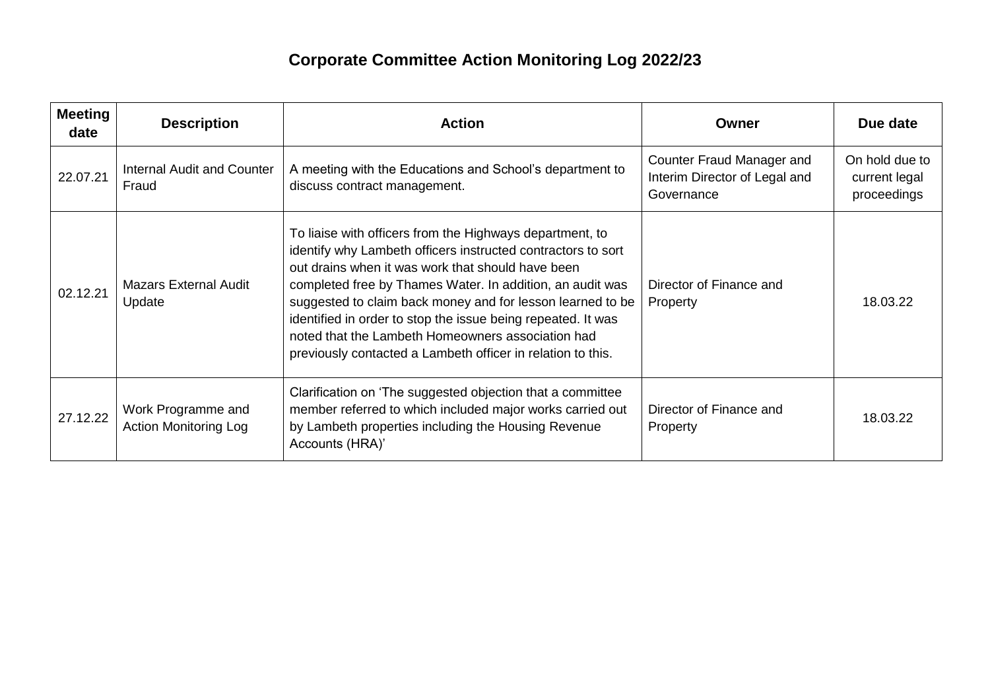## **Corporate Committee Action Monitoring Log 2022/23**

| <b>Meeting</b><br>date | <b>Description</b>                                 | <b>Action</b>                                                                                                                                                                                                                                                                                                                                                                                                                                                                                | Owner                                                                    | Due date                                       |
|------------------------|----------------------------------------------------|----------------------------------------------------------------------------------------------------------------------------------------------------------------------------------------------------------------------------------------------------------------------------------------------------------------------------------------------------------------------------------------------------------------------------------------------------------------------------------------------|--------------------------------------------------------------------------|------------------------------------------------|
| 22.07.21               | <b>Internal Audit and Counter</b><br>Fraud         | A meeting with the Educations and School's department to<br>discuss contract management.                                                                                                                                                                                                                                                                                                                                                                                                     | Counter Fraud Manager and<br>Interim Director of Legal and<br>Governance | On hold due to<br>current legal<br>proceedings |
| 02.12.21               | <b>Mazars External Audit</b><br>Update             | To liaise with officers from the Highways department, to<br>identify why Lambeth officers instructed contractors to sort<br>out drains when it was work that should have been<br>completed free by Thames Water. In addition, an audit was<br>suggested to claim back money and for lesson learned to be<br>identified in order to stop the issue being repeated. It was<br>noted that the Lambeth Homeowners association had<br>previously contacted a Lambeth officer in relation to this. | Director of Finance and<br>Property                                      | 18.03.22                                       |
| 27.12.22               | Work Programme and<br><b>Action Monitoring Log</b> | Clarification on 'The suggested objection that a committee<br>member referred to which included major works carried out<br>by Lambeth properties including the Housing Revenue<br>Accounts (HRA)'                                                                                                                                                                                                                                                                                            | Director of Finance and<br>Property                                      | 18.03.22                                       |